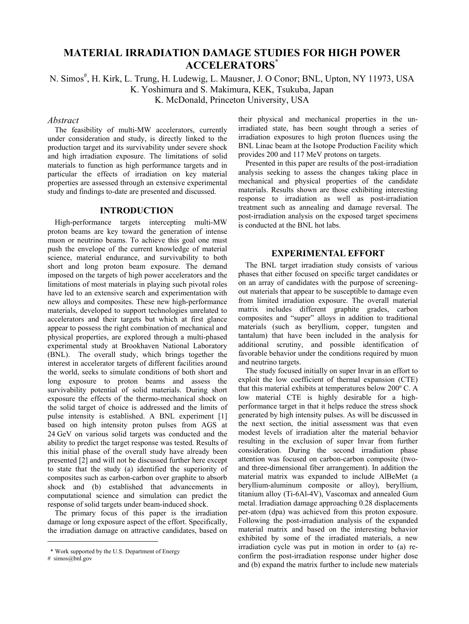# **MATERIAL IRRADIATION DAMAGE STUDIES FOR HIGH POWER ACCELERATORS\***

N. Simos<sup>#</sup>, H. Kirk, L. Trung, H. Ludewig, L. Mausner, J. O Conor; BNL, Upton, NY 11973, USA K. Yoshimura and S. Makimura, KEK, Tsukuba, Japan K. McDonald, Princeton University, USA

#### *Abstract*

The feasibility of multi-MW accelerators, currently under consideration and study, is directly linked to the production target and its survivability under severe shock and high irradiation exposure. The limitations of solid materials to function as high performance targets and in particular the effects of irradiation on key material properties are assessed through an extensive experimental study and findings to-date are presented and discussed.

#### **INTRODUCTION**

High-performance targets intercepting multi-MW proton beams are key toward the generation of intense muon or neutrino beams. To achieve this goal one must push the envelope of the current knowledge of material science, material endurance, and survivability to both short and long proton beam exposure. The demand imposed on the targets of high power accelerators and the limitations of most materials in playing such pivotal roles have led to an extensive search and experimentation with new alloys and composites. These new high-performance materials, developed to support technologies unrelated to accelerators and their targets but which at first glance appear to possess the right combination of mechanical and physical properties, are explored through a multi-phased experimental study at Brookhaven National Laboratory (BNL). The overall study, which brings together the interest in accelerator targets of different facilities around the world, seeks to simulate conditions of both short and long exposure to proton beams and assess the survivability potential of solid materials. During short exposure the effects of the thermo-mechanical shock on the solid target of choice is addressed and the limits of pulse intensity is established. A BNL experiment [1] based on high intensity proton pulses from AGS at 24 GeV on various solid targets was conducted and the ability to predict the target response was tested. Results of this initial phase of the overall study have already been presented [2] and will not be discussed further here except to state that the study (a) identified the superiority of composites such as carbon-carbon over graphite to absorb shock and (b) established that advancements in computational science and simulation can predict the response of solid targets under beam-induced shock.

The primary focus of this paper is the irradiation damage or long exposure aspect of the effort. Specifically, the irradiation damage on attractive candidates, based on

l

their physical and mechanical properties in the unirradiated state, has been sought through a series of irradiation exposures to high proton fluences using the BNL Linac beam at the Isotope Production Facility which provides 200 and 117 MeV protons on targets.

Presented in this paper are results of the post-irradiation analysis seeking to assess the changes taking place in mechanical and physical properties of the candidate materials. Results shown are those exhibiting interesting response to irradiation as well as post-irradiation treatment such as annealing and damage reversal. The post-irradiation analysis on the exposed target specimens is conducted at the BNL hot labs.

### **EXPERIMENTAL EFFORT**

The BNL target irradiation study consists of various phases that either focused on specific target candidates or on an array of candidates with the purpose of screeningout materials that appear to be susceptible to damage even from limited irradiation exposure. The overall material matrix includes different graphite grades, carbon composites and "super" alloys in addition to traditional materials (such as beryllium, copper, tungsten and tantalum) that have been included in the analysis for additional scrutiny, and possible identification of favorable behavior under the conditions required by muon and neutrino targets.

The study focused initially on super Invar in an effort to exploit the low coefficient of thermal expansion (CTE) that this material exhibits at temperatures below 200º C. A low material CTE is highly desirable for a highperformance target in that it helps reduce the stress shock generated by high intensity pulses. As will be discussed in the next section, the initial assessment was that even modest levels of irradiation alter the material behavior resulting in the exclusion of super Invar from further consideration. During the second irradiation phase attention was focused on carbon-carbon composite (twoand three-dimensional fiber arrangement). In addition the material matrix was expanded to include AlBeMet (a beryllium-aluminum composite or alloy), beryllium, titanium alloy (Ti-6Al-4V), Vascomax and annealed Gum metal. Irradiation damage approaching 0.28 displacements per-atom (dpa) was achieved from this proton exposure. Following the post-irradiation analysis of the expanded material matrix and based on the interesting behavior exhibited by some of the irradiated materials, a new irradiation cycle was put in motion in order to (a) reconfirm the post-irradiation response under higher dose and (b) expand the matrix further to include new materials

 <sup>\*</sup> Work supported by the U.S. Department of Energy

<sup>#</sup> simos@bnl.gov